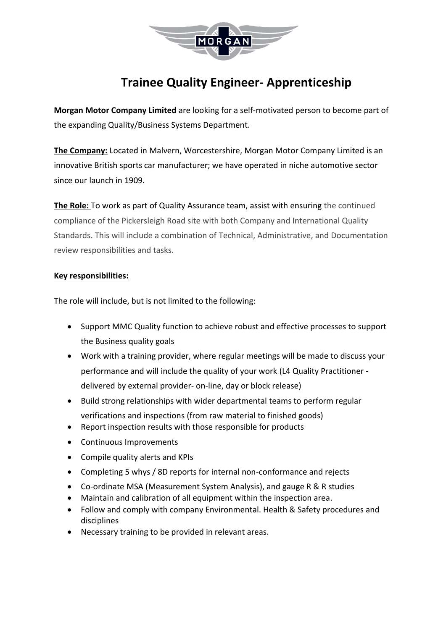

# **Trainee Quality Engineer- Apprenticeship**

**Morgan Motor Company Limited** are looking for a self-motivated person to become part of the expanding Quality/Business Systems Department.

**The Company:** Located in Malvern, Worcestershire, Morgan Motor Company Limited is an innovative British sports car manufacturer; we have operated in niche automotive sector since our launch in 1909.

**The Role:** To work as part of Quality Assurance team, assist with ensuring the continued compliance of the Pickersleigh Road site with both Company and International Quality Standards. This will include a combination of Technical, Administrative, and Documentation review responsibilities and tasks.

## **Key responsibilities:**

The role will include, but is not limited to the following:

- Support MMC Quality function to achieve robust and effective processes to support the Business quality goals
- Work with a training provider, where regular meetings will be made to discuss your performance and will include the quality of your work (L4 Quality Practitioner delivered by external provider- on-line, day or block release)
- Build strong relationships with wider departmental teams to perform regular verifications and inspections (from raw material to finished goods)
- Report inspection results with those responsible for products
- Continuous Improvements
- Compile quality alerts and KPIs
- Completing 5 whys / 8D reports for internal non-conformance and rejects
- Co-ordinate MSA (Measurement System Analysis), and gauge R & R studies
- Maintain and calibration of all equipment within the inspection area.
- Follow and comply with company Environmental. Health & Safety procedures and disciplines
- Necessary training to be provided in relevant areas.